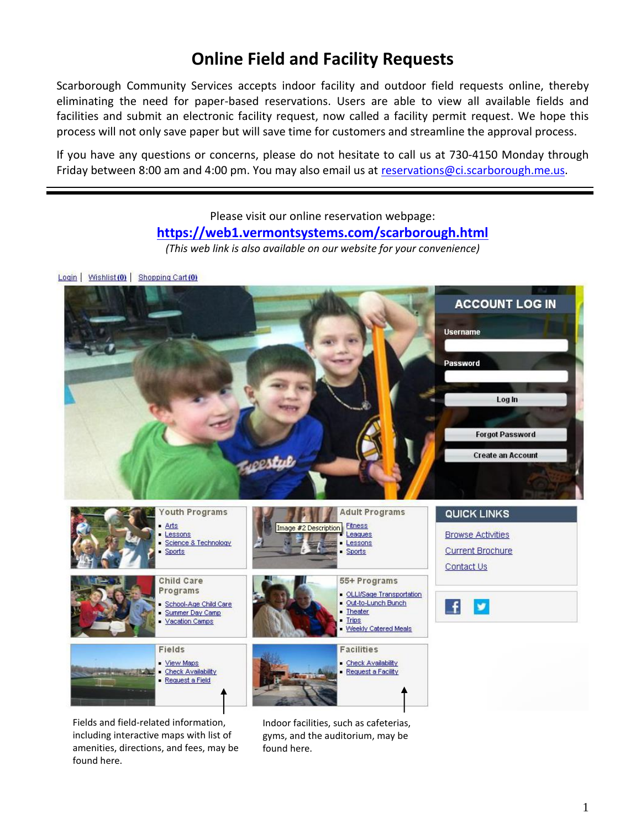# **Online Field and Facility Requests**

Scarborough Community Services accepts indoor facility and outdoor field requests online, thereby eliminating the need for paper-based reservations. Users are able to view all available fields and facilities and submit an electronic facility request, now called a facility permit request. We hope this process will not only save paper but will save time for customers and streamline the approval process.

If you have any questions or concerns, please do not hesitate to call us at 730-4150 Monday through Friday between 8:00 am and 4:00 pm. You may also email us at [reservations@ci.scarborough.me.us.](mailto:reservations@ci.scarborough.me.us)

# Please visit our online reservation webpage: **[https://web1.vermontsystems.com/scarborough.html](https://thexch02.scarborough.me.us/owa/redir.aspx?SURL=ge4SNxuc-N36ysgGMXs8ewu4eByMJKfFsgTAHaAwp04JimWkHXHUCGgAdAB0AHAAcwA6AC8ALwB3AGUAYgAxAC4AdgBlAHIAbQBvAG4AdABzAHkAcwB0AGUAbQBzAC4AYwBvAG0ALwBzAGMAYQByAGIAbwByAG8AdQBnAGgALgBoAHQAbQBsAA..&URL=https%3a%2f%2fweb1.vermontsystems.com%2fscarborough.html)**

*(This web link is also available on our website for your convenience)*

Login | Wishlist (0) | Shopping Cart (0)



Fields and field-related information, including interactive maps with list of amenities, directions, and fees, may be found here.

Indoor facilities, such as cafeterias, gyms, and the auditorium, may be found here.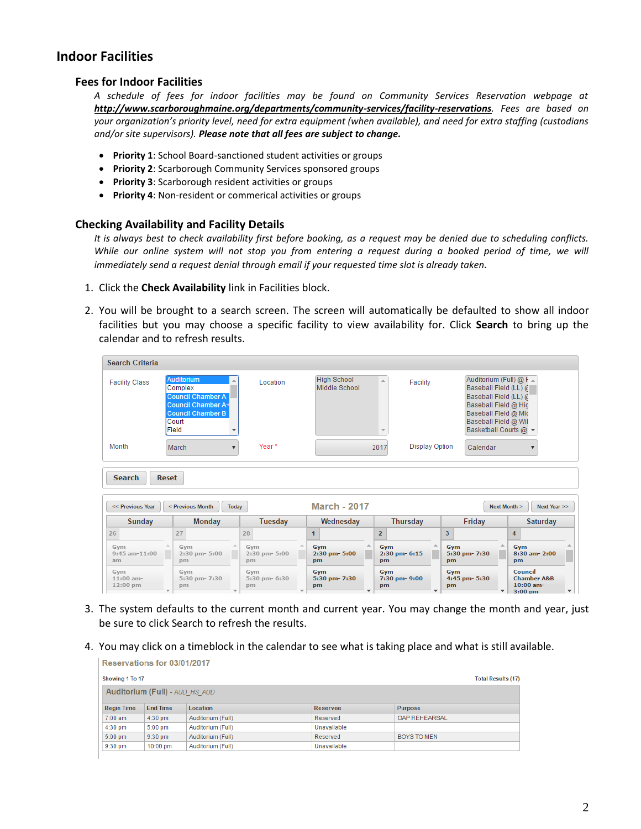# **Indoor Facilities**

#### **Fees for Indoor Facilities**

*A schedule of fees for indoor facilities may be found on Community Services Reservation webpage at http://www.scarboroughmaine.org/departments/community-services/facility-reservations. Fees are based on your organization's priority level, need for extra equipment (when available), and need for extra staffing (custodians and/or site supervisors). Please note that all fees are subject to change.*

- **Priority 1**: School Board-sanctioned student activities or groups
- **Priority 2**: Scarborough Community Services sponsored groups
- **Priority 3**: Scarborough resident activities or groups
- **Priority 4**: Non-resident or commerical activities or groups

#### **Checking Availability and Facility Details**

*It is always best to check availability first before booking, as a request may be denied due to scheduling conflicts. While our online system will not stop you from entering a request during a booked period of time, we will immediately send a request denial through email if your requested time slot is already taken.*

- 1. Click the **Check Availability** link in Facilities block.
- 2. You will be brought to a search screen. The screen will automatically be defaulted to show all indoor facilities but you may choose a specific facility to view availability for. Click **Search** to bring up the calendar and to refresh results.

| <b>Search Criteria</b>                |              |                                                                                                                              |                                 |                                     |                                              |                |                                                                                                                                                                             |                      |                                                                   |
|---------------------------------------|--------------|------------------------------------------------------------------------------------------------------------------------------|---------------------------------|-------------------------------------|----------------------------------------------|----------------|-----------------------------------------------------------------------------------------------------------------------------------------------------------------------------|----------------------|-------------------------------------------------------------------|
| <b>Facility Class</b>                 |              | Auditorium<br>Complex<br><b>Council Chamber A</b><br><b>Council Chamber A+</b><br><b>Council Chamber B</b><br>Court<br>Field | Location                        | <b>High School</b><br>Middle School | a.<br>Facility                               |                | Auditorium (Full) $@F =$<br>Baseball Field (LL) @<br>Baseball Field (LL) @<br>Baseball Field @ Hig<br>Baseball Field @ Mic<br>Baseball Field @ Wil<br>Basketball Courts @ ▼ |                      |                                                                   |
| Month                                 |              | March                                                                                                                        | Year*                           |                                     | <b>Display Option</b><br>2017                |                | Calendar                                                                                                                                                                    |                      |                                                                   |
| <b>Search</b><br><< Previous Year     | <b>Reset</b> | < Previous Month<br>Today                                                                                                    |                                 | <b>March - 2017</b>                 |                                              |                |                                                                                                                                                                             | Next Month >         | Next Year >>                                                      |
| Sunday                                |              | Monday                                                                                                                       | Tuesday                         | Wednesday                           | <b>Thursday</b>                              |                | Friday                                                                                                                                                                      |                      | Saturday                                                          |
| 26<br>Gym<br>$9:45$ am- $11:00$<br>am |              | 27<br>Gym<br>2:30 pm- 5:00<br>pm                                                                                             | 28<br>Gym<br>2:30 pm-5:00<br>pm | 1<br>Gym<br>2:30 pm- 5:00<br>pm     | $\overline{2}$<br>Gym<br>2:30 pm- 6:15<br>pm | 3<br>Gym<br>pm | 5:30 pm- 7:30                                                                                                                                                               | 4<br>Gym<br>pm       | 8:30 am- 2:00                                                     |
| Gym<br>$11:00$ am-<br>12:00 pm        |              | Gym<br>5:30 pm- 7:30<br>pm                                                                                                   | Gym<br>5:30 pm- 6:30<br>pm      | Gym<br>5:30 pm- 7:30<br>pm          | Gym<br>7:30 pm-9:00<br>pm                    | Gym<br>pm      | 4:45 pm- 5:30<br>$\overline{\phantom{a}}$                                                                                                                                   | Council<br>$3:00$ pm | <b>Chamber A&amp;B</b><br>$10:00$ am-<br>$\overline{\phantom{a}}$ |

- 3. The system defaults to the current month and current year. You may change the month and year, just be sure to click Search to refresh the results.
- 4. You may click on a timeblock in the calendar to see what is taking place and what is still available.

| Reservations for 03/01/2017 |                                       |                   |             |                           |  |  |
|-----------------------------|---------------------------------------|-------------------|-------------|---------------------------|--|--|
| Showing 1 To 17             |                                       |                   |             | <b>Total Results (17)</b> |  |  |
|                             | <b>Auditorium (Full) - AUD HS AUD</b> |                   |             |                           |  |  |
| <b>Begin Time</b>           | <b>End Time</b>                       | Location          | Reservee    | <b>Purpose</b>            |  |  |
| $7:00$ am                   | $4:30$ pm                             | Auditorium (Full) | Reserved    | OAP REHEARSAL             |  |  |
| $4:30$ pm                   | $5:00$ pm                             | Auditorium (Full) | Unavailable |                           |  |  |
| $5:00$ pm                   | $9:30$ pm                             | Auditorium (Full) | Reserved    | <b>BOYS TO MEN</b>        |  |  |
| $9:30$ pm                   | $10:00$ pm                            | Auditorium (Full) | Unavailable |                           |  |  |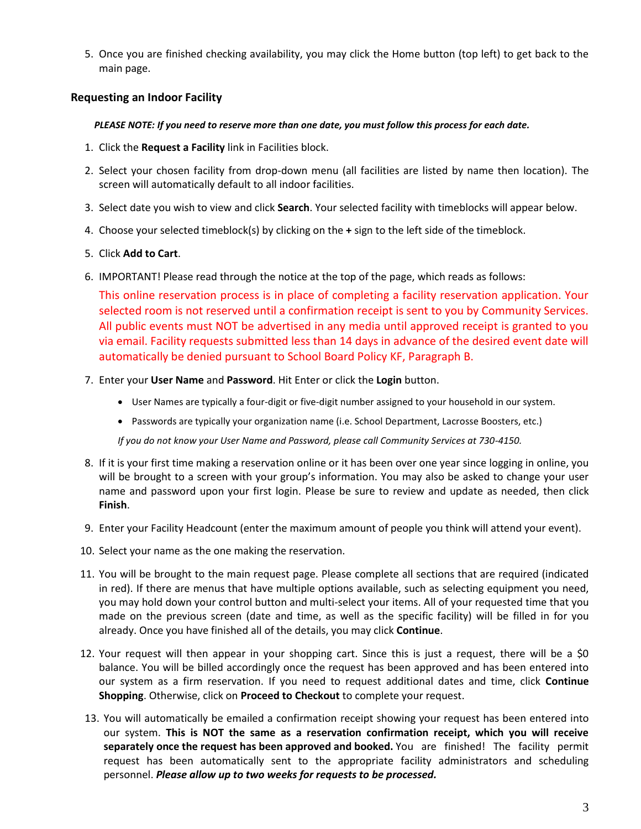5. Once you are finished checking availability, you may click the Home button (top left) to get back to the main page.

### **Requesting an Indoor Facility**

#### *PLEASE NOTE: If you need to reserve more than one date, you must follow this process for each date.*

- 1. Click the **Request a Facility** link in Facilities block.
- 2. Select your chosen facility from drop-down menu (all facilities are listed by name then location). The screen will automatically default to all indoor facilities.
- 3. Select date you wish to view and click **Search**. Your selected facility with timeblocks will appear below.
- 4. Choose your selected timeblock(s) by clicking on the **+** sign to the left side of the timeblock.

### 5. Click **Add to Cart**.

6. IMPORTANT! Please read through the notice at the top of the page, which reads as follows:

This online reservation process is in place of completing a facility reservation application. Your selected room is not reserved until a confirmation receipt is sent to you by Community Services. All public events must NOT be advertised in any media until approved receipt is granted to you via email. Facility requests submitted less than 14 days in advance of the desired event date will automatically be denied pursuant to School Board Policy KF, Paragraph B.

- 7. Enter your **User Name** and **Password**. Hit Enter or click the **Login** button.
	- User Names are typically a four-digit or five-digit number assigned to your household in our system.
	- Passwords are typically your organization name (i.e. School Department, Lacrosse Boosters, etc.)

*If you do not know your User Name and Password, please call Community Services at 730-4150.*

- 8. If it is your first time making a reservation online or it has been over one year since logging in online, you will be brought to a screen with your group's information. You may also be asked to change your user name and password upon your first login. Please be sure to review and update as needed, then click **Finish**.
- 9. Enter your Facility Headcount (enter the maximum amount of people you think will attend your event).
- 10. Select your name as the one making the reservation.
- 11. You will be brought to the main request page. Please complete all sections that are required (indicated in red). If there are menus that have multiple options available, such as selecting equipment you need, you may hold down your control button and multi-select your items. All of your requested time that you made on the previous screen (date and time, as well as the specific facility) will be filled in for you already. Once you have finished all of the details, you may click **Continue**.
- 12. Your request will then appear in your shopping cart. Since this is just a request, there will be a \$0 balance. You will be billed accordingly once the request has been approved and has been entered into our system as a firm reservation. If you need to request additional dates and time, click **Continue Shopping**. Otherwise, click on **Proceed to Checkout** to complete your request.
- 13. You will automatically be emailed a confirmation receipt showing your request has been entered into our system. **This is NOT the same as a reservation confirmation receipt, which you will receive separately once the request has been approved and booked.** You are finished! The facility permit request has been automatically sent to the appropriate facility administrators and scheduling personnel. *Please allow up to two weeks for requests to be processed.*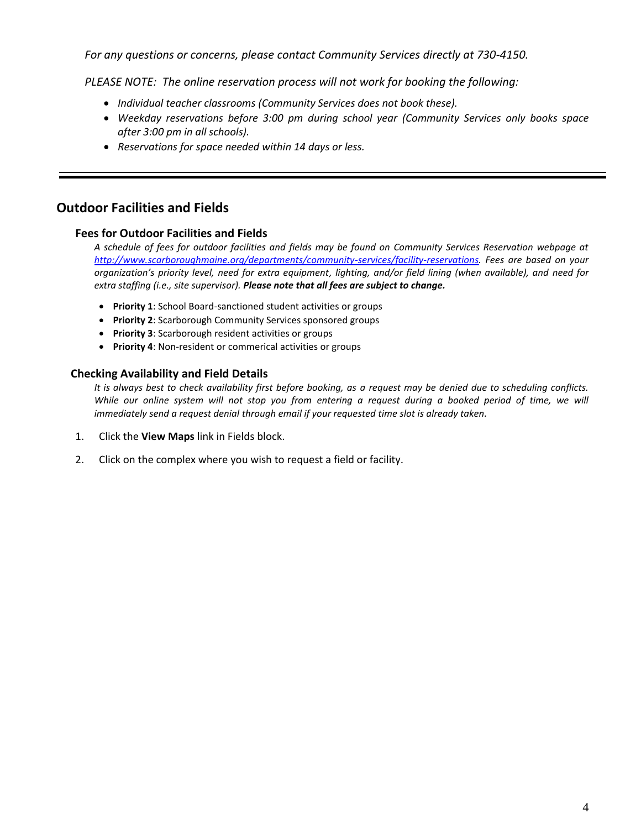*For any questions or concerns, please contact Community Services directly at 730-4150.*

*PLEASE NOTE: The online reservation process will not work for booking the following:* 

- *Individual teacher classrooms (Community Services does not book these).*
- *Weekday reservations before 3:00 pm during school year (Community Services only books space after 3:00 pm in all schools).*
- *Reservations for space needed within 14 days or less.*

# **Outdoor Facilities and Fields**

### **Fees for Outdoor Facilities and Fields**

*A schedule of fees for outdoor facilities and fields may be found on Community Services Reservation webpage at [http://www.scarboroughmaine.org/departments/community-services/facility-reservations.](http://www.scarboroughmaine.org/departments/community-services/facility-reservations) Fees are based on your organization's priority level, need for extra equipment, lighting, and/or field lining (when available), and need for extra staffing (i.e., site supervisor). Please note that all fees are subject to change.*

- **Priority 1**: School Board-sanctioned student activities or groups
- **Priority 2**: Scarborough Community Services sponsored groups
- **Priority 3**: Scarborough resident activities or groups
- **Priority 4**: Non-resident or commerical activities or groups

# **Checking Availability and Field Details**

*It is always best to check availability first before booking, as a request may be denied due to scheduling conflicts. While our online system will not stop you from entering a request during a booked period of time, we will immediately send a request denial through email if your requested time slot is already taken.*

- 1. Click the **View Maps** link in Fields block.
- 2. Click on the complex where you wish to request a field or facility.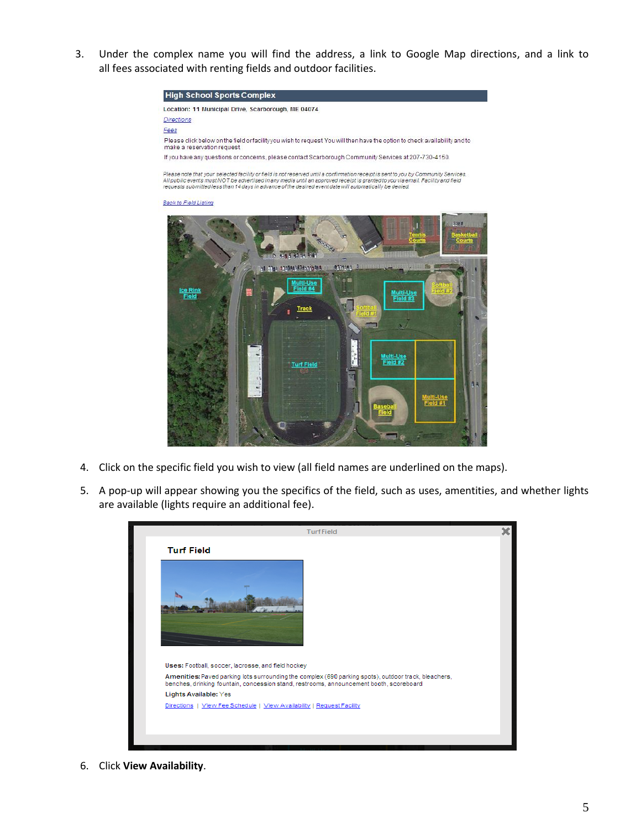3. Under the complex name you will find the address, a link to Google Map directions, and a link to all fees associated with renting fields and outdoor facilities.





- 4. Click on the specific field you wish to view (all field names are underlined on the maps).
- 5. A pop-up will appear showing you the specifics of the field, such as uses, amentities, and whether lights are available (lights require an additional fee).



6. Click **View Availability**.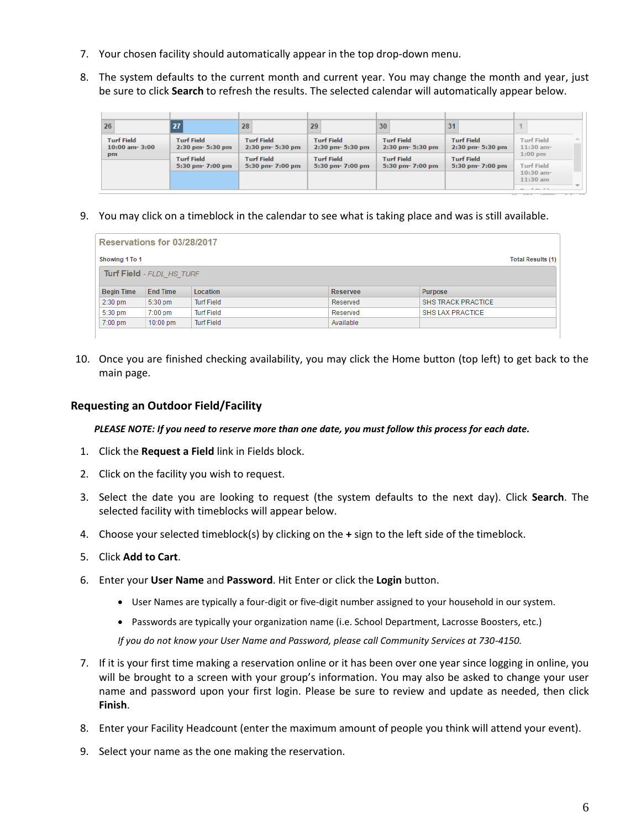- 7. Your chosen facility should automatically appear in the top drop-down menu.
- 8. The system defaults to the current month and current year. You may change the month and year, just be sure to click **Search** to refresh the results. The selected calendar will automatically appear below.

| 26                                      | 27 <sup>1</sup>                           | 28                                        | 29                                    | 30                                        | 31                                        |                                         |
|-----------------------------------------|-------------------------------------------|-------------------------------------------|---------------------------------------|-------------------------------------------|-------------------------------------------|-----------------------------------------|
| <b>Turf Field</b><br>$10:00$ am- $3:00$ | <b>Turf Field</b><br>$2:30$ pm- $5:30$ pm | <b>Turf Field</b><br>$2:30$ pm- $5:30$ pm | <b>Turf Field</b><br>2:30 pm- 5:30 pm | <b>Turf Field</b><br>$2:30$ pm- $5:30$ pm | <b>Turf Field</b><br>$2:30$ pm- $5:30$ pm | <b>Turf Field</b><br>A.<br>$11:30$ am-  |
| pm                                      | <b>Turf Field</b><br>5:30 pm- 7:00 pm     | <b>Turf Field</b><br>$5:30$ pm- $7:00$ pm | <b>Turf Field</b><br>5:30 pm- 7:00 pm | <b>Turf Field</b><br>$5:30$ pm- $7:00$ pm | <b>Turf Field</b><br>5:30 pm- 7:00 pm     | $1:00$ pm<br>Turf Field                 |
|                                         |                                           |                                           |                                       |                                           |                                           | $10:30$ am-<br>$11:30$ am<br>$   +$ $+$ |

9. You may click on a timeblock in the calendar to see what is taking place and was is still available.

|                   | Reservations for 03/28/2017      |                   |          |                           |
|-------------------|----------------------------------|-------------------|----------|---------------------------|
| Showing 1 To 1    |                                  |                   |          | <b>Total Results (1)</b>  |
|                   | <b>Turf Field - FLDL HS TURF</b> |                   |          |                           |
| <b>Begin Time</b> | <b>End Time</b>                  | <b>Location</b>   | Reservee | Purpose                   |
|                   |                                  |                   |          |                           |
| $2:30$ pm         | 5:30 pm                          | <b>Turf Field</b> | Reserved | <b>SHS TRACK PRACTICE</b> |
| 5:30 pm           | $7:00$ pm                        | <b>Turf Field</b> | Reserved | <b>SHS LAX PRACTICE</b>   |

10. Once you are finished checking availability, you may click the Home button (top left) to get back to the main page.

# **Requesting an Outdoor Field/Facility**

*PLEASE NOTE: If you need to reserve more than one date, you must follow this process for each date.*

- 1. Click the **Request a Field** link in Fields block.
- 2. Click on the facility you wish to request.
- 3. Select the date you are looking to request (the system defaults to the next day). Click **Search**. The selected facility with timeblocks will appear below.
- 4. Choose your selected timeblock(s) by clicking on the **+** sign to the left side of the timeblock.
- 5. Click **Add to Cart**.
- 6. Enter your **User Name** and **Password**. Hit Enter or click the **Login** button.
	- User Names are typically a four-digit or five-digit number assigned to your household in our system.
	- Passwords are typically your organization name (i.e. School Department, Lacrosse Boosters, etc.)

*If you do not know your User Name and Password, please call Community Services at 730-4150.*

- 7. If it is your first time making a reservation online or it has been over one year since logging in online, you will be brought to a screen with your group's information. You may also be asked to change your user name and password upon your first login. Please be sure to review and update as needed, then click **Finish**.
- 8. Enter your Facility Headcount (enter the maximum amount of people you think will attend your event).
- 9. Select your name as the one making the reservation.